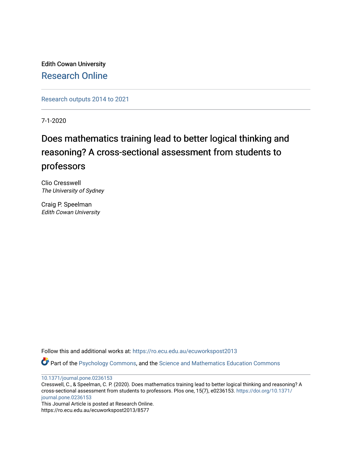Edith Cowan University [Research Online](https://ro.ecu.edu.au/) 

[Research outputs 2014 to 2021](https://ro.ecu.edu.au/ecuworkspost2013) 

7-1-2020

# Does mathematics training lead to better logical thinking and reasoning? A cross-sectional assessment from students to professors

Clio Cresswell The University of Sydney

Craig P. Speelman Edith Cowan University

Follow this and additional works at: [https://ro.ecu.edu.au/ecuworkspost2013](https://ro.ecu.edu.au/ecuworkspost2013?utm_source=ro.ecu.edu.au%2Fecuworkspost2013%2F8577&utm_medium=PDF&utm_campaign=PDFCoverPages) 

Part of the [Psychology Commons,](http://network.bepress.com/hgg/discipline/404?utm_source=ro.ecu.edu.au%2Fecuworkspost2013%2F8577&utm_medium=PDF&utm_campaign=PDFCoverPages) and the [Science and Mathematics Education Commons](http://network.bepress.com/hgg/discipline/800?utm_source=ro.ecu.edu.au%2Fecuworkspost2013%2F8577&utm_medium=PDF&utm_campaign=PDFCoverPages)

[10.1371/journal.pone.0236153](http://dx.doi.org/10.1371/journal.pone.0236153) 

Cresswell, C., & Speelman, C. P. (2020). Does mathematics training lead to better logical thinking and reasoning? A cross-sectional assessment from students to professors. Plos one, 15(7), e0236153. [https://doi.org/10.1371/](https://doi.org/10.1371/journal.pone.0236153) [journal.pone.0236153](https://doi.org/10.1371/journal.pone.0236153)

This Journal Article is posted at Research Online.

https://ro.ecu.edu.au/ecuworkspost2013/8577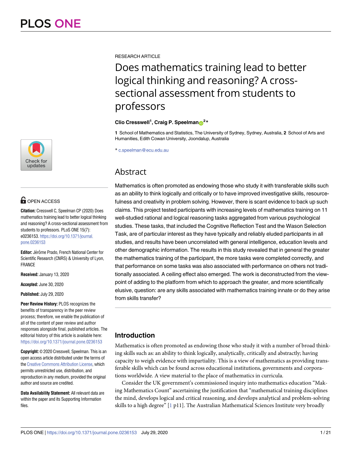

# **OPEN ACCESS**

**Citation:** Cresswell C, Speelman CP (2020) Does mathematics training lead to better logical thinking and reasoning? A cross-sectional assessment from students to professors. PLoS ONE 15(7): e0236153. [https://doi.org/10.1371/journal.](https://doi.org/10.1371/journal.pone.0236153) [pone.0236153](https://doi.org/10.1371/journal.pone.0236153)

**Editor:** Jérôme Prado, French National Center for Scientific Research (CNRS) & University of Lyon, FRANCE

**Received:** January 13, 2020

**Accepted:** June 30, 2020

**Published:** July 29, 2020

**Peer Review History:** PLOS recognizes the benefits of transparency in the peer review process; therefore, we enable the publication of all of the content of peer review and author responses alongside final, published articles. The editorial history of this article is available here: <https://doi.org/10.1371/journal.pone.0236153>

**Copyright:** © 2020 Cresswell, Speelman. This is an open access article distributed under the terms of the Creative [Commons](http://creativecommons.org/licenses/by/4.0/) Attribution License, which permits unrestricted use, distribution, and reproduction in any medium, provided the original author and source are credited.

**Data Availability Statement:** All relevant data are within the paper and its Supporting Information files.

<span id="page-1-0"></span>RESEARCH ARTICLE

Does mathematics training lead to better logical thinking and reasoning? A crosssectional assessment from students to professors

# **Clio** Cresswell<sup>1</sup>, Craig P. Speelman<sup>2</sup><sup>\*</sup>

**1** School of Mathematics and Statistics, The University of Sydney, Sydney, Australia, **2** School of Arts and Humanities, Edith Cowan University, Joondalup, Australia

\* c.speelman@ecu.edu.au

# Abstract

Mathematics is often promoted as endowing those who study it with transferable skills such as an ability to think logically and critically or to have improved investigative skills, resourcefulness and creativity in problem solving. However, there is scant evidence to back up such claims. This project tested participants with increasing levels of mathematics training on 11 well-studied rational and logical reasoning tasks aggregated from various psychological studies. These tasks, that included the Cognitive Reflection Test and the Wason Selection Task, are of particular interest as they have typically and reliably eluded participants in all studies, and results have been uncorrelated with general intelligence, education levels and other demographic information. The results in this study revealed that in general the greater the mathematics training of the participant, the more tasks were completed correctly, and that performance on some tasks was also associated with performance on others not traditionally associated. A ceiling effect also emerged. The work is deconstructed from the viewpoint of adding to the platform from which to approach the greater, and more scientifically elusive, question: are any skills associated with mathematics training innate or do they arise from skills transfer?

# **Introduction**

Mathematics is often promoted as endowing those who study it with a number of broad thinking skills such as: an ability to think logically, analytically, critically and abstractly; having capacity to weigh evidence with impartiality. This is a view of mathematics as providing transferable skills which can be found across educational institutions, governments and corporations worldwide. A view material to the place of mathematics in curricula.

Consider the UK government's commissioned inquiry into mathematics education "Making Mathematics Count" ascertaining the justification that "mathematical training disciplines the mind, develops logical and critical reasoning, and develops analytical and problem-solving skills to a high degree" [[1](#page-20-0) p11]. The Australian Mathematical Sciences Institute very broadly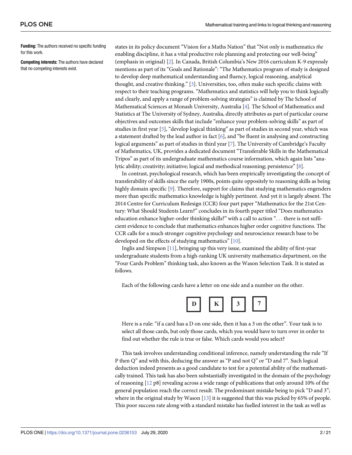<span id="page-2-0"></span>**Funding:** The authors received no specific funding for this work.

**Competing interests:** The authors have declared that no competing interests exist.

states in its policy document "Vision for a Maths Nation" that "Not only is mathematics *the* enabling discipline, it has a vital productive role planning and protecting our well-being" (emphasis in original) [\[2\]](#page-20-0). In Canada, British Columbia's New 2016 curriculum K-9 expressly mentions as part of its "Goals and Rationale": "The Mathematics program of study is designed to develop deep mathematical understanding and fluency, logical reasoning, analytical thought, and creative thinking." [\[3](#page-20-0)]. Universities, too, often make such specific claims with respect to their teaching programs. "Mathematics and statistics will help you to think logically and clearly, and apply a range of problem-solving strategies" is claimed by The School of Mathematical Sciences at Monash University, Australia [\[4](#page-20-0)]. The School of Mathematics and Statistics at The University of Sydney, Australia, directly attributes as part of particular course objectives and outcomes skills that include "enhance your problem-solving skills" as part of studies in first year [[5](#page-20-0)], "develop logical thinking" as part of studies in second year, which was a statement drafted by the lead author in fact [[6\]](#page-20-0), and "be fluent in analysing and constructing logical arguments" as part of studies in third year [\[7\]](#page-20-0). The University of Cambridge's Faculty of Mathematics, UK, provides a dedicated document "Transferable Skills in the Mathematical Tripos" as part of its undergraduate mathematics course information, which again lists "analytic ability; creativity; initiative; logical and methodical reasoning; persistence" [\[8\]](#page-20-0).

In contrast, psychological research, which has been empirically investigating the concept of transferability of skills since the early 1900s, points quite oppositely to reasoning skills as being highly domain specific [[9](#page-20-0)]. Therefore, support for claims that studying mathematics engenders more than specific mathematics knowledge is highly pertinent. And yet it is largely absent. The 2014 Centre for Curriculum Redesign (CCR) four part paper "Mathematics for the 21st Century: What Should Students Learn?" concludes in its fourth paper titled "Does mathematics education enhance higher-order thinking skills?" with a call to action ". . . there is not sufficient evidence to conclude that mathematics enhances higher order cognitive functions. The CCR calls for a much stronger cognitive psychology and neuroscience research base to be developed on the effects of studying mathematics" [[10](#page-20-0)].

Inglis and Simpson [\[11\]](#page-20-0), bringing up this very issue, examined the ability of first-year undergraduate students from a high-ranking UK university mathematics department, on the "Four Cards Problem" thinking task, also known as the Wason Selection Task. It is stated as follows.

Each of the following cards have a letter on one side and a number on the other.



Here is a rule: "if a card has a D on one side, then it has a 3 on the other". Your task is to select all those cards, but only those cards, which you would have to turn over in order to find out whether the rule is true or false. Which cards would you select?

This task involves understanding conditional inference, namely understanding the rule "If P then Q" and with this, deducing the answer as "P and not Q" or "D and 7". Such logical deduction indeed presents as a good candidate to test for a potential ability of the mathematically trained. This task has also been substantially investigated in the domain of the psychology of reasoning [\[12](#page-20-0) p8] revealing across a wide range of publications that only around 10% of the general population reach the correct result. The predominant mistake being to pick "D and 3"; where in the original study by Wason [\[13\]](#page-20-0) it is suggested that this was picked by 65% of people. This poor success rate along with a standard mistake has fuelled interest in the task as well as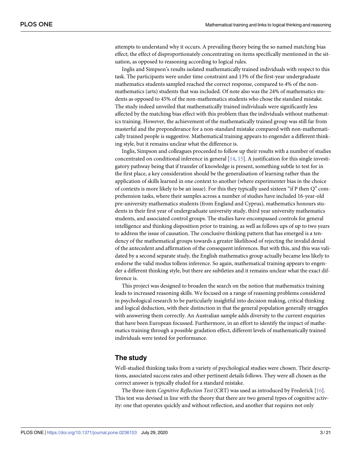<span id="page-3-0"></span>attempts to understand why it occurs. A prevailing theory being the so named matching bias effect; the effect of disproportionately concentrating on items specifically mentioned in the situation, as opposed to reasoning according to logical rules.

Inglis and Simpson's results isolated mathematically trained individuals with respect to this task. The participants were under time constraint and 13% of the first-year undergraduate mathematics students sampled reached the correct response, compared to 4% of the nonmathematics (arts) students that was included. Of note also was the 24% of mathematics students as opposed to 45% of the non-mathematics students who chose the standard mistake. The study indeed unveiled that mathematically trained individuals were significantly less affected by the matching bias effect with this problem than the individuals without mathematics training. However, the achievement of the mathematically trained group was still far from masterful and the preponderance for a non-standard mistake compared with non-mathematically trained people is suggestive. Mathematical training appears to engender a different thinking style, but it remains unclear what the difference is.

Inglis, Simpson and colleagues proceeded to follow up their results with a number of studies concentrated on conditional inference in general [[14](#page-20-0), [15](#page-20-0)]. A justification for this single investigatory pathway being that if transfer of knowledge is present, something subtle to test for in the first place, a key consideration should be the generalisation of learning rather than the application of skills learned in one context to another (where experimenter bias in the choice of contexts is more likely to be an issue). For this they typically used sixteen "if P then Q" comprehension tasks, where their samples across a number of studies have included 16-year-old pre-university mathematics students (from England and Cyprus), mathematics honours students in their first year of undergraduate university study, third year university mathematics students, and associated control groups. The studies have encompassed controls for general intelligence and thinking disposition prior to training, as well as follows ups of up to two years to address the issue of causation. The conclusive thinking pattern that has emerged is a tendency of the mathematical groups towards a greater likelihood of rejecting the invalid denial of the antecedent and affirmation of the consequent inferences. But with this, and this was validated by a second separate study, the English mathematics group actually became less likely to endorse the valid modus tollens inference. So again, mathematical training appears to engender a different thinking style, but there are subtleties and it remains unclear what the exact difference is.

This project was designed to broaden the search on the notion that mathematics training leads to increased reasoning skills. We focused on a range of reasoning problems considered in psychological research to be particularly insightful into decision making, critical thinking and logical deduction, with their distinction in that the general population generally struggles with answering them correctly. An Australian sample adds diversity to the current enquiries that have been European focussed. Furthermore, in an effort to identify the impact of mathematics training through a possible gradation effect, different levels of mathematically trained individuals were tested for performance.

# **The study**

Well-studied thinking tasks from a variety of psychological studies were chosen. Their descriptions, associated success rates and other pertinent details follows. They were all chosen as the correct answer is typically eluded for a standard mistake.

The three-item *Cognitive Reflection Test* (CRT) was used as introduced by Frederick [\[16\]](#page-20-0). This test was devised in line with the theory that there are two general types of cognitive activity: one that operates quickly and without reflection, and another that requires not only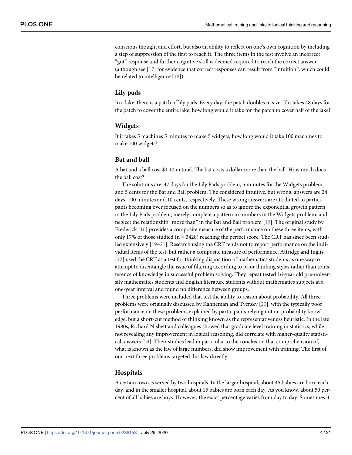<span id="page-4-0"></span>conscious thought and effort, but also an ability to reflect on one's own cognition by including a step of suppression of the first to reach it. The three items in the test involve an incorrect "gut" response and further cognitive skill is deemed required to reach the correct answer (although see [[17](#page-20-0)] for evidence that correct responses can result from "intuition", which could be related to intelligence [[18](#page-20-0)]).

# **Lily pads**

In a lake, there is a patch of lily pads. Every day, the patch doubles in size. If it takes 48 days for the patch to cover the entire lake, how long would it take for the patch to cover half of the lake?

# **Widgets**

If it takes 5 machines 5 minutes to make 5 widgets, how long would it take 100 machines to make 100 widgets?

### **Bat and ball**

A bat and a ball cost \$1.10 in total. The bat costs a dollar more than the ball. How much does the ball cost?

The solutions are: 47 days for the Lily Pads problem, 5 minutes for the Widgets problem and 5 cents for the Bat and Ball problem. The considered intuitive, but wrong, answers are 24 days, 100 minutes and 10 cents, respectively. These wrong answers are attributed to participants becoming over focused on the numbers so as to ignore the exponential growth pattern in the Lily Pads problem, merely complete a pattern in numbers in the Widgets problem, and neglect the relationship "more than" in the Bat and Ball problem [\[19\]](#page-20-0). The original study by Frederick [[16](#page-20-0)] provides a composite measure of the performance on these three items, with only 17% of those studied ( $n = 3428$ ) reaching the perfect score. The CRT has since been studied extensively [[19](#page-20-0)[–21\]](#page-21-0). Research using the CRT tends not to report performance on the individual items of the test, but rather a composite measure of performance. Attridge and Inglis [\[22\]](#page-21-0) used the CRT as a test for thinking disposition of mathematics students as one way to attempt to disentangle the issue of filtering according to prior thinking styles rather than transference of knowledge in successful problem solving. They repeat tested 16-year old pre-university mathematics students and English literature students without mathematics subjects at a one-year interval and found no difference between groups.

Three problems were included that test the ability to reason about probability. All three problems were originally discussed by Kahneman and Tversky [\[23](#page-21-0)], with the typically poor performance on these problems explained by participants relying not on probability knowledge, but a short-cut method of thinking known as the representativeness heuristic. In the late 1980s, Richard Nisbett and colleagues showed that graduate level training in statistics, while not revealing any improvement in logical reasoning, did correlate with higher-quality statistical answers [[24](#page-21-0)]. Their studies lead in particular to the conclusion that comprehension of, what is known as the law of large numbers, did show improvement with training. The first of our next three problems targeted this law directly.

#### **Hospitals**

A certain town is served by two hospitals. In the larger hospital, about 45 babies are born each day, and in the smaller hospital, about 15 babies are born each day. As you know, about 50 percent of all babies are boys. However, the exact percentage varies from day to day. Sometimes it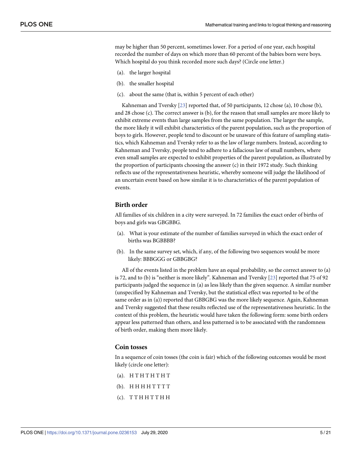may be higher than 50 percent, sometimes lower. For a period of one year, each hospital recorded the number of days on which more than 60 percent of the babies born were boys. Which hospital do you think recorded more such days? (Circle one letter.)

- (a). the larger hospital
- (b). the smaller hospital
- (c). about the same (that is, within 5 percent of each other)

Kahneman and Tversky [[23](#page-21-0)] reported that, of 50 participants, 12 chose (a), 10 chose (b), and 28 chose (c). The correct answer is (b), for the reason that small samples are more likely to exhibit extreme events than large samples from the same population. The larger the sample, the more likely it will exhibit characteristics of the parent population, such as the proportion of boys to girls. However, people tend to discount or be unaware of this feature of sampling statistics, which Kahneman and Tversky refer to as the law of large numbers. Instead, according to Kahneman and Tversky, people tend to adhere to a fallacious law of small numbers, where even small samples are expected to exhibit properties of the parent population, as illustrated by the proportion of participants choosing the answer (c) in their 1972 study. Such thinking reflects use of the representativeness heuristic, whereby someone will judge the likelihood of an uncertain event based on how similar it is to characteristics of the parent population of events.

#### **Birth order**

All families of six children in a city were surveyed. In 72 families the exact order of births of boys and girls was GBGBBG.

- (a). What is your estimate of the number of families surveyed in which the exact order of births was BGBBBB?
- (b). In the same survey set, which, if any, of the following two sequences would be more likely: BBBGGG or GBBGBG?

All of the events listed in the problem have an equal probability, so the correct answer to (a) is 72, and to (b) is "neither is more likely". Kahneman and Tversky [[23](#page-21-0)] reported that 75 of 92 participants judged the sequence in (a) as less likely than the given sequence. A similar number (unspecified by Kahneman and Tversky, but the statistical effect was reported to be of the same order as in (a)) reported that GBBGBG was the more likely sequence. Again, Kahneman and Tversky suggested that these results reflected use of the representativeness heuristic. In the context of this problem, the heuristic would have taken the following form: some birth orders appear less patterned than others, and less patterned is to be associated with the randomness of birth order, making them more likely.

## **Coin tosses**

In a sequence of coin tosses (the coin is fair) which of the following outcomes would be most likely (circle one letter):

- $(a)$ . H T H T H T H T
- $(b)$ . HHHHTTTT
- $(c)$ . TTHHTTHH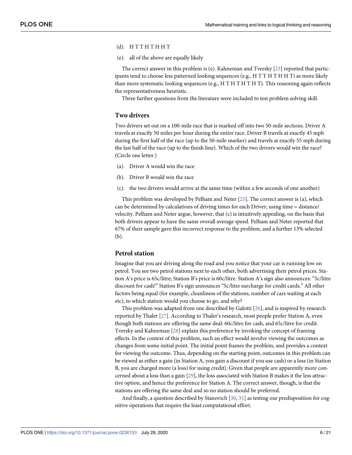#### <span id="page-6-0"></span> $(d)$ . HTTHTHHT

(e). all of the above are equally likely

The correct answer in this problem is (e). Kahneman and Tversky [[23](#page-21-0)] reported that participants tend to choose less patterned looking sequences (e.g., H T T H T H H T) as more likely than more systematic looking sequences (e.g.,  $H T H T H T H T$ ). This reasoning again reflects the representativeness heuristic.

Three further questions from the literature were included to test problem solving skill.

#### **Two drivers**

Two drivers set out on a 100-mile race that is marked off into two 50-mile sections. Driver A travels at exactly 50 miles per hour during the entire race. Driver B travels at exactly 45 mph during the first half of the race (up to the 50-mile marker) and travels at exactly 55 mph during the last half of the race (up to the finish line). Which of the two drivers would win the race? (Circle one letter.)

- (a). Driver A would win the race
- (b). Driver B would win the race
- (c). the two drivers would arrive at the same time (within a few seconds of one another)

This problem was developed by Pelham and Neter [\[25\]](#page-21-0). The correct answer is (a), which can be determined by calculations of driving times for each Driver, using time = distance/ velocity. Pelham and Neter argue, however, that (c) is intuitively appealing, on the basis that both drivers appear to have the same overall average speed. Pelham and Neter reported that 67% of their sample gave this incorrect response to the problem, and a further 13% selected (b).

#### **Petrol station**

Imagine that you are driving along the road and you notice that your car is running low on petrol. You see two petrol stations next to each other, both advertising their petrol prices. Station A's price is 65c/litre; Station B's price is 60c/litre. Station A's sign also announces: "5c/litre discount for cash!" Station B's sign announces "5c/litre surcharge for credit cards." All other factors being equal (for example, cleanliness of the stations, number of cars waiting at each etc), to which station would you choose to go, and why?

This problem was adapted from one described by Galotti [\[26\]](#page-21-0), and is inspired by research reported by Thaler [\[27\]](#page-21-0). According to Thaler's research, most people prefer Station A, even though both stations are offering the same deal: 60c/litre for cash, and 65c/litre for credit. Tversky and Kahneman [[28](#page-21-0)] explain this preference by invoking the concept of framing effects. In the context of this problem, such an effect would involve viewing the outcomes as changes from some initial point. The initial point frames the problem, and provides a context for viewing the outcome. Thus, depending on the starting point, outcomes in this problem can be viewed as either a gain (in Station A, you gain a discount if you use cash) or a loss (in Station B, you are charged more (a loss) for using credit). Given that people are apparently more concerned about a loss than a gain [\[29\]](#page-21-0), the loss associated with Station B makes it the less attractive option, and hence the preference for Station A. The correct answer, though, is that the stations are offering the same deal and so no station should be preferred.

And finally, a question described by Stanovich [\[30,](#page-21-0) [31\]](#page-21-0) as testing our predisposition for cognitive operations that require the least computational effort.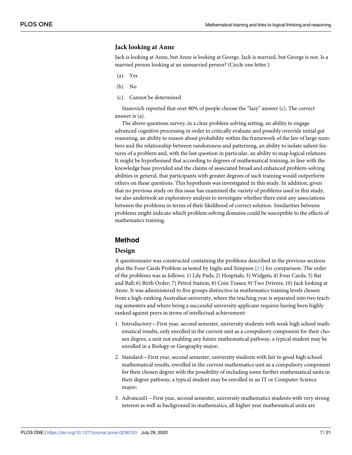# **Jack looking at Anne**

Jack is looking at Anne, but Anne is looking at George. Jack is married, but George is not. Is a married person looking at an unmarried person? (Circle one letter.)

- (a). Yes
- (b). No
- (c). Cannot be determined

Stanovich reported that over 80% of people choose the "lazy" answer (c). The correct answer is (a).

The above questions survey, in a clear problem solving setting, an ability to engage advanced cognitive processing in order to critically evaluate and possibly override initial gut reasoning, an ability to reason about probability within the framework of the law of large numbers and the relationship between randomness and patterning, an ability to isolate salient features of a problem and, with the last question in particular, an ability to map logical relations. It might be hypothesised that according to degrees of mathematical training, in line with the knowledge base provided and the claims of associated broad and enhanced problem-solving abilities in general, that participants with greater degrees of such training would outperform others on these questions. This hypothesis was investigated in this study. In addition, given that no previous study on this issue has examined the variety of problems used in this study, we also undertook an exploratory analysis to investigate whether there exist any associations between the problems in terms of their likelihood of correct solution. Similarities between problems might indicate which problem solving domains could be susceptible to the effects of mathematics training.

# **Method**

#### **Design**

A questionnaire was constructed containing the problems described in the previous sections plus the Four Cards Problem as tested by Inglis and Simpson [\[11\]](#page-20-0) for comparison. The order of the problems was as follows: 1) Lily Pads; 2) Hospitals; 3) Widgets; 4) Four Cards; 5) Bat and Ball; 6) Birth Order; 7) Petrol Station; 8) Coin Tosses; 9) Two Drivers; 10) Jack looking at Anne. It was administered to five groups distinctive in mathematics training levels chosen from a high-ranking Australian university, where the teaching year is separated into two teaching semesters and where being a successful university applicant requires having been highly ranked against peers in terms of intellectual achievement:

- 1. Introductory—First year, second semester, university students with weak high school mathematical results, only enrolled in the current unit as a compulsory component for their chosen degree, a unit not enabling any future mathematical pathway, a typical student may be enrolled in a Biology or Geography major;
- 2. Standard—First year, second semester, university students with fair to good high school mathematical results, enrolled in the current mathematics unit as a compulsory component for their chosen degree with the possibility of including some further mathematical units in their degree pathway, a typical student may be enrolled in an IT or Computer Science major;
- 3. Advanced1—First year, second semester, university mathematics students with very strong interest as well as background in mathematics, all higher year mathematical units are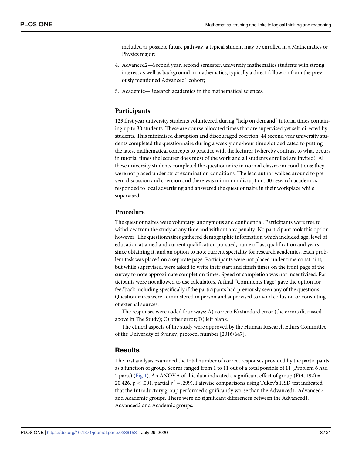<span id="page-8-0"></span>included as possible future pathway, a typical student may be enrolled in a Mathematics or Physics major;

- 4. Advanced2—Second year, second semester, university mathematics students with strong interest as well as background in mathematics, typically a direct follow on from the previously mentioned Advanced1 cohort;
- 5. Academic—Research academics in the mathematical sciences.

## **Participants**

123 first year university students volunteered during "help on demand" tutorial times containing up to 30 students. These are course allocated times that are supervised yet self-directed by students. This minimised disruption and discouraged coercion. 44 second year university students completed the questionnaire during a weekly one-hour time slot dedicated to putting the latest mathematical concepts to practice with the lecturer (whereby contrast to what occurs in tutorial times the lecturer does most of the work and all students enrolled are invited). All these university students completed the questionnaire in normal classroom conditions; they were not placed under strict examination conditions. The lead author walked around to prevent discussion and coercion and there was minimum disruption. 30 research academics responded to local advertising and answered the questionnaire in their workplace while supervised.

# **Procedure**

The questionnaires were voluntary, anonymous and confidential. Participants were free to withdraw from the study at any time and without any penalty. No participant took this option however. The questionnaires gathered demographic information which included age, level of education attained and current qualification pursued, name of last qualification and years since obtaining it, and an option to note current speciality for research academics. Each problem task was placed on a separate page. Participants were not placed under time constraint, but while supervised, were asked to write their start and finish times on the front page of the survey to note approximate completion times. Speed of completion was not incentivised. Participants were not allowed to use calculators. A final "Comments Page" gave the option for feedback including specifically if the participants had previously seen any of the questions. Questionnaires were administered in person and supervised to avoid collusion or consulting of external sources.

The responses were coded four ways: A) correct; B) standard error (the errors discussed above in The Study); C) other error; D) left blank.

The ethical aspects of the study were approved by the Human Research Ethics Committee of the University of Sydney, protocol number [2016/647].

# **Results**

The first analysis examined the total number of correct responses provided by the participants as a function of group. Scores ranged from 1 to 11 out of a total possible of 11 (Problem 6 had 2 parts) ([Fig](#page-9-0) 1). An ANOVA of this data indicated a significant effect of group (F(4, 192) = 20.426,  $p < .001$ , partial  $\eta^2 = .299$ ). Pairwise comparisons using Tukey's HSD test indicated that the Introductory group performed significantly worse than the Advanced1, Advanced2 and Academic groups. There were no significant differences between the Advanced1, Advanced2 and Academic groups.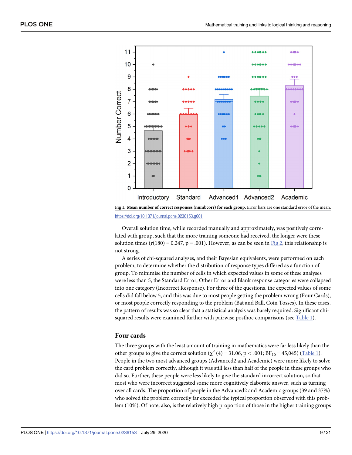<span id="page-9-0"></span>

**[Fig](#page-8-0) 1. Mean number of correct responses (numbcorr) for each group.** Error bars are one standard error of the mean. <https://doi.org/10.1371/journal.pone.0236153.g001>

Overall solution time, while recorded manually and approximately, was positively correlated with group, such that the more training someone had received, the longer were these solution times ( $r(180) = 0.247$ ,  $p = .001$ ). However, as can be seen in [Fig](#page-10-0) 2, this relationship is not strong.

A series of chi-squared analyses, and their Bayesian equivalents, were performed on each problem, to determine whether the distribution of response types differed as a function of group. To minimise the number of cells in which expected values in some of these analyses were less than 5, the Standard Error, Other Error and Blank response categories were collapsed into one category (Incorrect Response). For three of the questions, the expected values of some cells did fall below 5, and this was due to most people getting the problem wrong (Four Cards), or most people correctly responding to the problem (Bat and Ball, Coin Tosses). In these cases, the pattern of results was so clear that a statistical analysis was barely required. Significant chisquared results were examined further with pairwise posthoc comparisons (see [Table](#page-11-0) 1).

#### **Four cards**

The three groups with the least amount of training in mathematics were far less likely than the other groups to give the correct solution  $(\chi^2 (4) = 31.06, p < .001; BF_{10} = 45,045)$  [\(Table](#page-11-0) 1). People in the two most advanced groups (Advanced2 and Academic) were more likely to solve the card problem correctly, although it was still less than half of the people in these groups who did so. Further, these people were less likely to give the standard incorrect solution, so that most who were incorrect suggested some more cognitively elaborate answer, such as turning over all cards. The proportion of people in the Advanced2 and Academic groups (39 and 37%) who solved the problem correctly far exceeded the typical proportion observed with this problem (10%). Of note, also, is the relatively high proportion of those in the higher training groups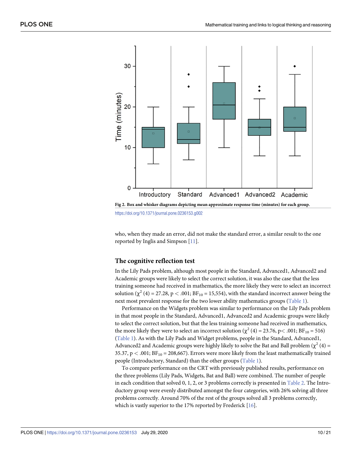<span id="page-10-0"></span>

<https://doi.org/10.1371/journal.pone.0236153.g002>

who, when they made an error, did not make the standard error, a similar result to the one reported by Inglis and Simpson [[11](#page-20-0)].

#### **The cognitive reflection test**

In the Lily Pads problem, although most people in the Standard, Advanced1, Advanced2 and Academic groups were likely to select the correct solution, it was also the case that the less training someone had received in mathematics, the more likely they were to select an incorrect solution  $(\chi^2 (4) = 27.28, p < .001; BF_{10} = 15,554)$ , with the standard incorrect answer being the next most prevalent response for the two lower ability mathematics groups ([Table](#page-11-0) 1).

Performance on the Widgets problem was similar to performance on the Lily Pads problem in that most people in the Standard, Advanced1, Advanced2 and Academic groups were likely to select the correct solution, but that the less training someone had received in mathematics, the more likely they were to select an incorrect solution ( $\chi^2$  (4) = 23.76, p < .001; BF<sub>10</sub> = 516) [\(Table](#page-11-0) 1). As with the Lily Pads and Widget problems, people in the Standard, Advanced1, Advanced2 and Academic groups were highly likely to solve the Bat and Ball problem ( $\chi^2$  (4) = 35.37,  $p < .001$ ;  $BF_{10} = 208,667$ ). Errors were more likely from the least mathematically trained people (Introductory, Standard) than the other groups ([Table](#page-11-0) 1).

To compare performance on the CRT with previously published results, performance on the three problems (Lily Pads, Widgets, Bat and Ball) were combined. The number of people in each condition that solved 0, 1, 2, or 3 problems correctly is presented in [Table](#page-12-0) 2. The Introductory group were evenly distributed amongst the four categories, with 26% solving all three problems correctly. Around 70% of the rest of the groups solved all 3 problems correctly, which is vastly superior to the 17% reported by Frederick [[16](#page-20-0)].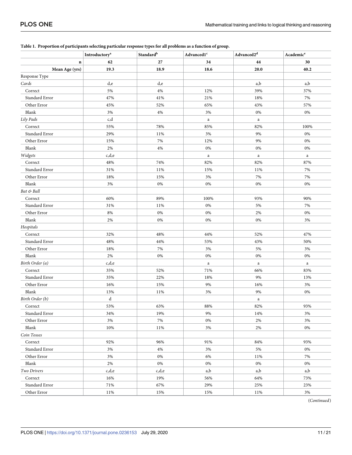|                 | Introductory <sup>a</sup> | Standard <sup>b</sup> | Advanced1 <sup>c</sup> | $\operatorname{Advanced2}^{\operatorname{d}}$ | Academic <sup>e</sup> |  |
|-----------------|---------------------------|-----------------------|------------------------|-----------------------------------------------|-----------------------|--|
| $\bf n$         | 62                        | 27                    | 34                     | 44                                            | 30                    |  |
| Mean Age (yrs)  | 19.3                      | 18.9                  | 18.6                   | 20.0                                          | 40.2                  |  |
| Response Type   |                           |                       |                        |                                               |                       |  |
| Cards           | d,e                       | d,e                   |                        | a,b                                           | a,b                   |  |
| Correct         | 5%                        | 4%                    | 12%                    | 39%                                           | 37%                   |  |
| Standard Error  | 47%                       | 41%                   | 21%                    | 18%                                           | 7%                    |  |
| Other Error     | 45%                       | 52%                   | 65%                    | 43%                                           | 57%                   |  |
| Blank           | 3%                        | 4%                    | 3%                     | $0\%$                                         | 0%                    |  |
| Lily Pads       | c,d                       |                       | a                      | $\mathbf{a}$                                  |                       |  |
| Correct         | 55%                       | 78%                   | 85%                    | 82%                                           | 100%                  |  |
| Standard Error  | 29%                       | 11%                   | 3%                     | 9%                                            | 0%                    |  |
| Other Error     | 15%                       | 7%                    | 12%                    | 9%                                            | 0%                    |  |
| Blank           | 2%                        | 4%                    | $0\%$                  | 0%                                            | 0%                    |  |
| Widgets         | c,d,e                     |                       | $\rm{a}$               | $\mathbf{a}$                                  | $\mathbf{a}$          |  |
| Correct         | 48%                       | 74%                   | 82%                    | 82%                                           | 87%                   |  |
| Standard Error  | 31%                       | 11%                   | 15%                    | 11%                                           | 7%                    |  |
| Other Error     | 18%                       | 15%                   | 3%                     | 7%                                            | 7%                    |  |
| Blank           | 3%                        | $0\%$                 | $0\%$                  | $0\%$                                         | 0%                    |  |
| Bat & Ball      |                           |                       |                        |                                               |                       |  |
| Correct         | 60%                       | 89%                   | 100%                   | 93%                                           | 90%                   |  |
| Standard Error  | 31%                       | 11%                   | $0\%$                  | 5%                                            | 7%                    |  |
| Other Error     | $8\%$                     | $0\%$                 | $0\%$                  | 2%                                            | $0\%$                 |  |
| Blank           | 2%                        | $0\%$                 | $0\%$                  | $0\%$                                         | 3%                    |  |
| Hospitals       |                           |                       |                        |                                               |                       |  |
| Correct         | 32%                       | 48%                   | 44%                    | 52%                                           | 47%                   |  |
| Standard Error  | 48%                       | 44%                   | 53%                    | 43%                                           | 50%                   |  |
| Other Error     | 18%                       | 7%                    | 3%                     | 5%                                            | 3%                    |  |
| Blank           | 2%                        | $0\%$                 | 0%                     | 0%                                            | 0%                    |  |
| Birth Order (a) | c,d,e                     |                       | $\mathbf{a}$           | $\mathbf{a}$                                  | $\mathbf{a}$          |  |
| Correct         | 35%                       | 52%                   | 71%                    | 66%                                           | 83%                   |  |
| Standard Error  | 35%                       | 22%                   | 18%                    | 9%                                            | 13%                   |  |
| Other Error     | 16%                       | 15%                   | 9%                     | 16%                                           | 3%                    |  |
| Blank           | 13%                       | 11%                   | 3%                     | 9%                                            | 0%                    |  |
| Birth Order (b) | d                         |                       |                        | $\mathbf{a}$                                  |                       |  |
| Correct         | 53%                       | 63%                   | 88%                    | 82%                                           | 93%                   |  |
| Standard Error  | 34%                       | 19%                   | 9%                     | 14%                                           | 3%                    |  |
| Other Error     | 3%                        | 7%                    | $0\%$                  | 2%                                            | 3%                    |  |
| Blank           | 10%                       | 11%                   | 3%                     | 2%                                            | 0%                    |  |
| Coin Tosses     |                           |                       |                        |                                               |                       |  |
| Correct         | 92%                       | 96%                   | 91%                    | 84%                                           | 93%                   |  |
| Standard Error  | 3%                        | 4%                    | 3%                     | 5%                                            | 0%                    |  |
| Other Error     | 3%                        | $0\%$                 | 6%                     | 11%                                           | 7%                    |  |
| Blank           | 2%                        | $0\%$                 | $0\%$                  | $0\%$                                         | 0%                    |  |
| Two Drivers     | c,d,e                     | c,d,e                 | a,b                    | a,b                                           | a,b                   |  |
| Correct         | 16%                       | 19%                   | 56%                    | 64%                                           | 73%                   |  |
| Standard Error  | 71%                       | 67%                   | 29%                    | 25%                                           | 23%                   |  |
| Other Error     | 11%                       | 15%                   | 15%                    | 11%                                           | 3%                    |  |

# <span id="page-11-0"></span>[Table](#page-9-0) 1. Proportion of participants selecting particular response types for all problems as a function of group.

(*Continued*)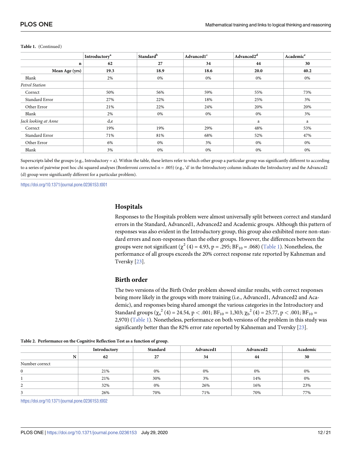|                      | Introductory <sup>a</sup> | <b>Standard</b> <sup>b</sup> | Advanced1 <sup>c</sup> | Advanced2 <sup>d</sup> | Academic <sup>e</sup> |  |
|----------------------|---------------------------|------------------------------|------------------------|------------------------|-----------------------|--|
| n                    | 62                        | 27                           | 34                     | 44                     | 30                    |  |
| Mean Age (yrs)       | 19.3                      | 18.9                         | 18.6                   | 20.0                   | 40.2                  |  |
| Blank                | 2%                        | 0%                           | 0%                     | 0%                     | 0%                    |  |
| Petrol Station       |                           |                              |                        |                        |                       |  |
| Correct              | 50%                       | 56%                          | 59%                    | 55%                    | 73%                   |  |
| Standard Error       | 27%                       | 22%                          | 18%                    | 25%                    | 3%                    |  |
| Other Error          | 21%                       | 22%                          | 24%                    | 20%                    | 20%                   |  |
| Blank                | 2%                        | 0%                           | 0%                     | 0%                     | 3%                    |  |
| Jack looking at Anne | d,e                       |                              |                        | a                      | a                     |  |
| Correct              | 19%                       | 19%                          | 29%                    | 48%                    | 53%                   |  |
| Standard Error       | 71%                       | 81%                          | 68%                    | 52%                    | 47%                   |  |
| Other Error          | 6%                        | 0%                           | 3%                     | 0%                     | 0%                    |  |
| Blank                | 3%                        | 0%                           | 0%                     | 0%                     | 0%                    |  |

#### <span id="page-12-0"></span>**Table 1.** (Continued)

Superscripts label the groups (e.g., Introductory = a). Within the table, these letters refer to which other group a particular group was significantly different to according to a series of pairwise post hoc chi squared analyses (Bonferroni corrected  $\alpha = .005$ ) (e.g., 'd' in the Introductory column indicates the Introductory and the Advanced2 (d) group were significantly different for a particular problem).

<https://doi.org/10.1371/journal.pone.0236153.t001>

#### **Hospitals**

Responses to the Hospitals problem were almost universally split between correct and standard errors in the Standard, Advanced1, Advanced2 and Academic groups. Although this pattern of responses was also evident in the Introductory group, this group also exhibited more non-standard errors and non-responses than the other groups. However, the differences between the groups were not significant ( $\chi^2$  (4) = 4.93, p = .295; BF<sub>10</sub> = .068) ([Table](#page-11-0) 1). Nonetheless, the performance of all groups exceeds the 20% correct response rate reported by Kahneman and Tversky [\[23\]](#page-21-0).

#### **Birth order**

The two versions of the Birth Order problem showed similar results, with correct responses being more likely in the groups with more training (i.e., Advanced1, Advanced2 and Academic), and responses being shared amongst the various categories in the Introductory and Standard groups ( $\chi_a^2$  (4) = 24.54, p < .001; BF<sub>10</sub> = 1,303;  $\chi_b^2$  (4) = 25.77, p < .001; BF<sub>10</sub> = 2,970) [\(Table](#page-11-0) 1). Nonetheless, performance on both versions of the problem in this study was significantly better than the 82% error rate reported by Kahneman and Tversky [\[23\]](#page-21-0).

|                | Introductory | Standard | Advanced1 | Advanced <sub>2</sub> | Academic |
|----------------|--------------|----------|-----------|-----------------------|----------|
| N              | 62           | 27       | 34        | 44                    | 30       |
| Number correct |              |          |           |                       |          |
| $\bf{0}$       | 21%          | 0%       | 0%        | 0%                    | 0%       |
|                | 21%          | 30%      | 3%        | 14%                   | 0%       |
| 2              | 32%          | 0%       | 26%       | 16%                   | 23%      |
|                | 26%          | 70%      | 71%       | 70%                   | 77%      |

| Table 2. Performance on the Cognitive Reflection Test as a function of group. |  |  |
|-------------------------------------------------------------------------------|--|--|
|                                                                               |  |  |

<https://doi.org/10.1371/journal.pone.0236153.t002>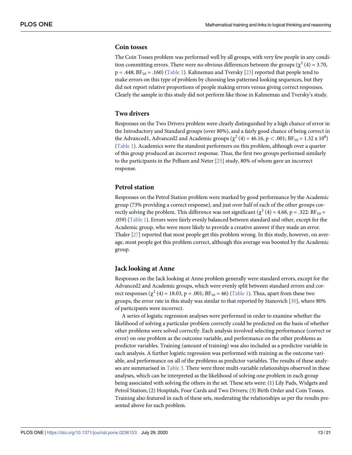#### <span id="page-13-0"></span>**Coin tosses**

The Coin Tosses problem was performed well by all groups, with very few people in any condition committing errors. There were no obvious differences between the groups ( $\chi^2$  (4) = 3.70,  $p = .448$ ;  $BF_{10} = .160$ ) [\(Table](#page-11-0) 1). Kahneman and Tversky [\[23\]](#page-21-0) reported that people tend to make errors on this type of problem by choosing less patterned looking sequences, but they did not report relative proportions of people making errors versus giving correct responses. Clearly the sample in this study did not perform like those in Kahneman and Tversky's study.

# **Two drivers**

Responses on the Two Drivers problem were clearly distinguished by a high chance of error in the Introductory and Standard groups (over 80%), and a fairly good chance of being correct in the Advanced1, Advanced2 and Academic groups ( $\chi^2$  (4) = 46.16, p < .001; BF<sub>10</sub> = 1.32 x 10<sup>8</sup>) [\(Table](#page-11-0) 1). Academics were the standout performers on this problem, although over a quarter of this group produced an incorrect response. Thus, the first two groups performed similarly to the participants in the Pelham and Neter [\[25\]](#page-21-0) study, 80% of whom gave an incorrect response.

#### **Petrol station**

Responses on the Petrol Station problem were marked by good performance by the Academic group (73% providing a correct response), and just over half of each of the other groups correctly solving the problem. This difference was not significant ( $\chi^2$  (4) = 4.68, p = .322: BF<sub>10</sub> = .059) ([Table](#page-11-0) 1). Errors were fairly evenly balanced between standard and other, except for the Academic group, who were more likely to provide a creative answer if they made an error. Thaler [[27](#page-21-0)] reported that most people get this problem wrong. In this study, however, on average, most people got this problem correct, although this average was boosted by the Academic group.

### **Jack looking at Anne**

Responses on the Jack looking at Anne problem generally were standard errors, except for the Advanced2 and Academic groups, which were evenly split between standard errors and correct responses ( $\chi^2$  (4) = 18.03, p = .001; BF<sub>10</sub> = 46) [\(Table](#page-11-0) 1). Thus, apart from these two groups, the error rate in this study was similar to that reported by Stanovich [\[30\]](#page-21-0), where 80% of participants were incorrect.

A series of logistic regression analyses were performed in order to examine whether the likelihood of solving a particular problem correctly could be predicted on the basis of whether other problems were solved correctly. Each analysis involved selecting performance (correct or error) on one problem as the outcome variable, and performance on the other problems as predictor variables. Training (amount of training) was also included as a predictor variable in each analysis. A further logistic regression was performed with training as the outcome variable, and performance on all of the problems as predictor variables. The results of these analyses are summarised in [Table](#page-14-0) 3. There were three multi-variable relationships observed in these analyses, which can be interpreted as the likelihood of solving one problem in each group being associated with solving the others in the set. These sets were: (1) Lily Pads, Widgets and Petrol Station; (2) Hospitals, Four Cards and Two Drivers; (3) Birth Order and Coin Tosses. Training also featured in each of these sets, moderating the relationships as per the results presented above for each problem.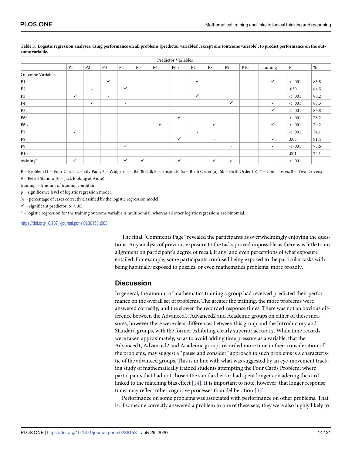|                   |                          |                          |                |                          |                          |                          | Predictor Variables |                          |                          |                |                          |              |              |      |
|-------------------|--------------------------|--------------------------|----------------|--------------------------|--------------------------|--------------------------|---------------------|--------------------------|--------------------------|----------------|--------------------------|--------------|--------------|------|
|                   | P <sub>1</sub>           | P <sub>2</sub>           | P <sub>3</sub> | P4                       | P <sub>5</sub>           | P6a                      | P6b                 | P7                       | P8                       | P <sub>9</sub> | P <sub>10</sub>          | Training     | $\mathbf{P}$ | $\%$ |
| Outcome Variables |                          |                          |                |                          |                          |                          |                     |                          |                          |                |                          |              |              |      |
| P <sub>1</sub>    | $\overline{\phantom{a}}$ |                          | $\checkmark$   |                          |                          |                          |                     | $\checkmark$             |                          |                |                          | $\checkmark$ | <.001        | 83.8 |
| P <sub>2</sub>    |                          | $\overline{\phantom{a}}$ |                | $\checkmark$             |                          |                          |                     |                          |                          |                |                          |              | .030         | 64.5 |
| P <sub>3</sub>    | $\checkmark$             |                          | $\overline{a}$ |                          |                          |                          |                     | $\checkmark$             |                          |                |                          |              | < 0.001      | 80.2 |
| $\mathbf{P}4$     |                          | $\checkmark$             |                | $\overline{\phantom{a}}$ |                          |                          |                     |                          |                          | $\checkmark$   |                          | $\checkmark$ | <.001        | 85.3 |
| P <sub>5</sub>    |                          |                          |                |                          | $\overline{\phantom{a}}$ |                          |                     |                          |                          |                |                          | ✓            | <.001        | 83.8 |
| P6a               |                          |                          |                |                          |                          | $\overline{\phantom{a}}$ | $\checkmark$        |                          |                          |                |                          |              | <.001        | 78.2 |
| P6b               |                          |                          |                |                          |                          | $\checkmark$             | $\sim$              |                          | $\checkmark$             |                |                          | $\checkmark$ | < .001       | 79.2 |
| $\mathbf{P}7$     | $\checkmark$             |                          |                |                          |                          |                          |                     | $\overline{\phantom{a}}$ |                          |                |                          |              | $<.001$      | 74.1 |
| P8                |                          |                          |                |                          |                          |                          | $\checkmark$        |                          | $\overline{\phantom{a}}$ |                |                          | ✓            | .003         | 91.4 |
| P9                |                          |                          |                | $\checkmark$             |                          |                          |                     |                          |                          | $\sim$         |                          | ✓            | <.001        | 75.6 |
| P10               |                          |                          |                |                          |                          |                          |                     |                          |                          |                | $\overline{\phantom{a}}$ |              | .001         | 74.1 |
| training*         | $\checkmark$             |                          |                | $\checkmark$             | ✓                        |                          | $\checkmark$        |                          | $\checkmark$             | $\checkmark$   |                          |              | $<.001$      |      |

#### <span id="page-14-0"></span>[Table](#page-13-0) 3. Logistic regression analyses, using performance on all problems (predictor variables), except one (outcome variable), to predict performance on the out**come variable.**

 $P =$  Problem (1 = Four Cards; 2 = Lily Pads; 3 = Widgets; 4 = Bat & Ball; 5 = Hospitals; 6a = Birth Order (a); 6b = Birth Order (b); 7 = Coin Tosses; 8 = Two Drivers;

 $9$  = Petrol Station;  $10$  = Jack looking at Anne). training = Amount of training condition.

p = significance level of logistic regression model.

% = percentage of cases correctly classified by the logistic regression model.

 $\checkmark$  = significant predictor,  $\alpha$  < .05.

� = logistic regression for the training outcome variable is multinomial, whereas all other logistic regressions are binomial.

<https://doi.org/10.1371/journal.pone.0236153.t003>

The final "Comments Page" revealed the participants as overwhelmingly enjoying the questions. Any analysis of previous exposure to the tasks proved impossible as there was little to no alignment on participant's degree of recall, if any, and even perceptions of what exposure entailed. For example, some participants confused being exposed to the particular tasks with being habitually exposed to puzzles, or even mathematics problems, more broadly.

# **Discussion**

In general, the amount of mathematics training a group had received predicted their performance on the overall set of problems. The greater the training, the more problems were answered correctly, and the slower the recorded response times. There was not an obvious difference between the Advanced1, Advanced2 and Academic groups on either of these measures, however there were clear differences between this group and the Introductory and Standard groups, with the former exhibiting clearly superior accuracy. While time records were taken approximately, so as to avoid adding time pressure as a variable, that the Advanced1, Advanced2 and Academic groups recorded more time in their consideration of the problems, may suggest a "pause and consider" approach to such problems is a characteristic of the advanced groups. This is in line with what was suggested by an eye-movement tracking study of mathematically trained students attempting the Four Cards Problem; where participants that had not chosen the standard error had spent longer considering the card linked to the matching bias effect [\[14\]](#page-20-0). It is important to note, however, that longer response times may reflect other cognitive processes than deliberation [\[32\]](#page-21-0).

Performance on some problems was associated with performance on other problems. That is, if someone correctly answered a problem in one of these sets, they were also highly likely to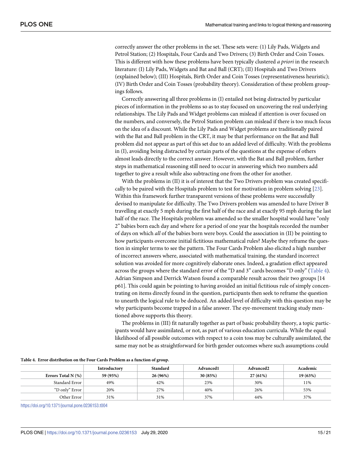correctly answer the other problems in the set. These sets were: (1) Lily Pads, Widgets and Petrol Station; (2) Hospitals, Four Cards and Two Drivers; (3) Birth Order and Coin Tosses. This is different with how these problems have been typically clustered *a priori* in the research literature: (I) Lily Pads, Widgets and Bat and Ball (CRT); (II) Hospitals and Two Drivers (explained below); (III) Hospitals, Birth Order and Coin Tosses (representativeness heuristic); (IV) Birth Order and Coin Tosses (probability theory). Consideration of these problem groupings follows.

Correctly answering all three problems in (I) entailed not being distracted by particular pieces of information in the problems so as to stay focused on uncovering the real underlying relationships. The Lily Pads and Widget problems can mislead if attention is over focused on the numbers, and conversely, the Petrol Station problem can mislead if there is too much focus on the idea of a discount. While the Lily Pads and Widget problems are traditionally paired with the Bat and Ball problem in the CRT, it may be that performance on the Bat and Ball problem did not appear as part of this set due to an added level of difficulty. With the problems in (I), avoiding being distracted by certain parts of the questions at the expense of others almost leads directly to the correct answer. However, with the Bat and Ball problem, further steps in mathematical reasoning still need to occur in answering which two numbers add together to give a result while also subtracting one from the other for another.

With the problems in (II) it is of interest that the Two Drivers problem was created specifically to be paired with the Hospitals problem to test for motivation in problem solving [\[23\]](#page-21-0). Within this framework further transparent versions of these problems were successfully devised to manipulate for difficulty. The Two Drivers problem was amended to have Driver B travelling at exactly 5 mph during the first half of the race and at exactly 95 mph during the last half of the race. The Hospitals problem was amended so the smaller hospital would have "only 2" babies born each day and where for a period of one year the hospitals recorded the number of days on which *all* of the babies born were boys. Could the association in (II) be pointing to how participants overcome initial fictitious mathematical rules? Maybe they reframe the question in simpler terms to see the pattern. The Four Cards Problem also elicited a high number of incorrect answers where, associated with mathematical training, the standard incorrect solution was avoided for more cognitively elaborate ones. Indeed, a gradation effect appeared across the groups where the standard error of the "D and 3" cards becomes "D only" (Table 4). Adrian Simpson and Derrick Watson found a comparable result across their two groups [14 p61]. This could again be pointing to having avoided an initial fictitious rule of simply concentrating on items directly found in the question, participants then seek to reframe the question to unearth the logical rule to be deduced. An added level of difficulty with this question may be why participants become trapped in a false answer. The eye-movement tracking study mentioned above supports this theory.

The problems in (III) fit naturally together as part of basic probability theory, a topic participants would have assimilated, or not, as part of various education curricula. While the equal likelihood of all possible outcomes with respect to a coin toss may be culturally assimilated, the same may not be as straightforward for birth gender outcomes where such assumptions could

| Table 4. Error distribution on the Four Cards Problem as a function of group. |  |  |
|-------------------------------------------------------------------------------|--|--|
|-------------------------------------------------------------------------------|--|--|

|                       | Introductory | Standard | Advanced1 | Advanced <sub>2</sub> | Academic |
|-----------------------|--------------|----------|-----------|-----------------------|----------|
| Errors Total N $(\%)$ | 59 (95%)     | 26 (96%) | 30 (85%)  | 27(61%)               | 19 (63%) |
| Standard Error        | 49%          | 42%      | 23%       | 30%                   | 11%      |
| "D only" Error        | 20%          | 27%      | 40%       | 26%                   | 53%      |
| Other Error           | 31%          | 31%      | 37%       | 44%                   | 37%      |

<https://doi.org/10.1371/journal.pone.0236153.t004>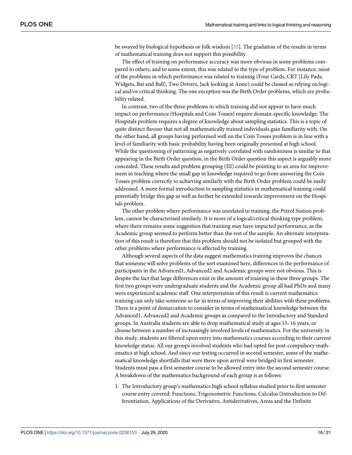<span id="page-16-0"></span>be swayed by biological hypothesis or folk wisdom [[33](#page-21-0)]. The gradation of the results in terms of mathematical training does not support this possibility.

The effect of training on performance accuracy was more obvious in some problems compared to others, and to some extent, this was related to the type of problem. For instance, most of the problems in which performance was related to training (Four Cards, CRT [Lily Pads, Widgets, Bat and Ball], Two Drivers, Jack looking at Anne) could be classed as relying on logical and/or critical thinking. The one exception was the Birth Order problems, which are probability related.

In contrast, two of the three problems in which training did not appear to have much impact on performance (Hospitals and Coin Tosses) require domain-specific knowledge. The Hospitals problem requires a degree of knowledge about sampling statistics. This is a topic of quite distinct flavour that not all mathematically trained individuals gain familiarity with. On the other hand, all groups having performed well on the Coin Tosses problem is in line with a level of familiarity with basic probability having been originally presented at high school. While the questioning of patterning as negatively correlated with randomness is similar to that appearing in the Birth Order question, in the Birth Order question this aspect is arguably more concealed. These results and problem grouping (III) could be pointing to an area for improvement in teaching where the small gap in knowledge required to go from answering the Coin Tosses problem correctly to achieving similarly with the Birth Order problem could be easily addressed. A more formal introduction to sampling statistics in mathematical training could potentially bridge this gap as well as further be extended towards improvement on the Hospitals problem.

The other problem where performance was unrelated to training, the Petrol Station problem, cannot be characterised similarly. It is more of a logical/critical thinking type problem, where there remains some suggestion that training may have impacted performance, as the Academic group seemed to perform better than the rest of the sample. An alternate interpretation of this result is therefore that this problem should not be isolated but grouped with the other problems where performance is affected by training.

Although several aspects of the data suggest mathematics training improves the chances that someone will solve problems of the sort examined here, differences in the performance of participants in the Advanced1, Advanced2 and Academic groups were not obvious. This is despite the fact that large differences exist in the amount of training in these three groups. The first two groups were undergraduate students and the Academic group all had PhDs and many were experienced academic staff. One interpretation of this result is current mathematics training can only take someone so far in terms of improving their abilities with these problems. There is a point of demarcation to consider in terms of mathematical knowledge between the Advanced1, Advanced2 and Academic groups as compared to the Introductory and Standard groups. In Australia students are able to drop mathematical study at ages 15–16 years, or choose between a number of increasingly involved levels of mathematics. For the university in this study, students are filtered upon entry into mathematics courses according to their current knowledge status. All our groups involved students who had opted for post-compulsory mathematics at high school. And since our testing occurred in second semester, some of the mathematical knowledge shortfalls that were there upon arrival were bridged in first semester. Students must pass a first semester course to be allowed entry into the second semester course. A breakdown of the mathematics background of each group is as follows:

1. The Introductory group's mathematics high school syllabus studied prior to first semester course entry covered: Functions, Trigonometric Functions, Calculus (Introduction to Differentiation, Applications of the Derivative, Antiderivatives, Areas and the Definite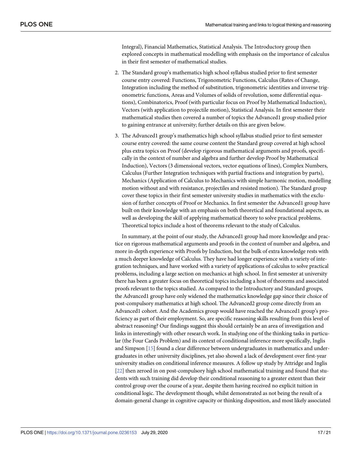Integral), Financial Mathematics, Statistical Analysis. The Introductory group then explored concepts in mathematical modelling with emphasis on the importance of calculus in their first semester of mathematical studies.

- 2. The Standard group's mathematics high school syllabus studied prior to first semester course entry covered: Functions, Trigonometric Functions, Calculus (Rates of Change, Integration including the method of substitution, trigonometric identities and inverse trigonometric functions, Areas and Volumes of solids of revolution, some differential equations), Combinatorics, Proof (with particular focus on Proof by Mathematical Induction), Vectors (with application to projectile motion), Statistical Analysis. In first semester their mathematical studies then covered a number of topics the Advanced1 group studied prior to gaining entrance at university; further details on this are given below.
- 3. The Advanced1 group's mathematics high school syllabus studied prior to first semester course entry covered: the same course content the Standard group covered at high school plus extra topics on Proof (develop rigorous mathematical arguments and proofs, specifically in the context of number and algebra and further develop Proof by Mathematical Induction), Vectors (3 dimensional vectors, vector equations of lines), Complex Numbers, Calculus (Further Integration techniques with partial fractions and integration by parts), Mechanics (Application of Calculus to Mechanics with simple harmonic motion, modelling motion without and with resistance, projectiles and resisted motion). The Standard group cover these topics in their first semester university studies in mathematics with the exclusion of further concepts of Proof or Mechanics. In first semester the Advanced1 group have built on their knowledge with an emphasis on both theoretical and foundational aspects, as well as developing the skill of applying mathematical theory to solve practical problems. Theoretical topics include a host of theorems relevant to the study of Calculus.

In summary, at the point of our study, the Advanced1 group had more knowledge and practice on rigorous mathematical arguments and proofs in the context of number and algebra, and more in-depth experience with Proofs by Induction, but the bulk of extra knowledge rests with a much deeper knowledge of Calculus. They have had longer experience with a variety of integration techniques, and have worked with a variety of applications of calculus to solve practical problems, including a large section on mechanics at high school. In first semester at university there has been a greater focus on theoretical topics including a host of theorems and associated proofs relevant to the topics studied. As compared to the Introductory and Standard groups, the Advanced1 group have only widened the mathematics knowledge gap since their choice of post-compulsory mathematics at high school. The Advanced2 group come directly from an Advanced1 cohort. And the Academics group would have reached the Advanced1 group's proficiency as part of their employment. So, are specific reasoning skills resulting from this level of abstract reasoning? Our findings suggest this should certainly be an area of investigation and links in interestingly with other research work. In studying one of the thinking tasks in particular (the Four Cards Problem) and its context of conditional inference more specifically, Inglis and Simpson [\[15\]](#page-20-0) found a clear difference between undergraduates in mathematics and undergraduates in other university disciplines, yet also showed a lack of development over first-year university studies on conditional inference measures. A follow up study by Attridge and Inglis [\[22\]](#page-21-0) then zeroed in on post-compulsory high school mathematical training and found that students with such training did develop their conditional reasoning to a greater extent than their control group over the course of a year, despite them having received no explicit tuition in conditional logic. The development though, whilst demonstrated as not being the result of a domain-general change in cognitive capacity or thinking disposition, and most likely associated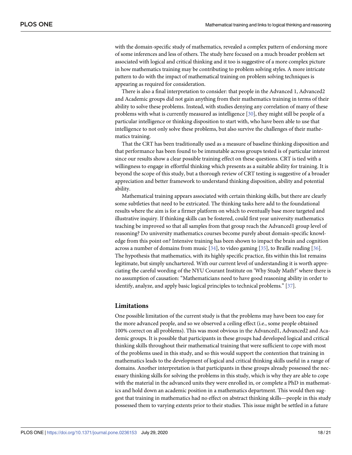<span id="page-18-0"></span>with the domain-specific study of mathematics, revealed a complex pattern of endorsing more of some inferences and less of others. The study here focused on a much broader problem set associated with logical and critical thinking and it too is suggestive of a more complex picture in how mathematics training may be contributing to problem solving styles. A more intricate pattern to do with the impact of mathematical training on problem solving techniques is appearing as required for consideration.

There is also a final interpretation to consider: that people in the Advanced 1, Advanced2 and Academic groups did not gain anything from their mathematics training in terms of their ability to solve these problems. Instead, with studies denying any correlation of many of these problems with what is currently measured as intelligence [\[30\]](#page-21-0), they might still be people of a particular intelligence or thinking disposition to start with, who have been able to use that intelligence to not only solve these problems, but also survive the challenges of their mathematics training.

That the CRT has been traditionally used as a measure of baseline thinking disposition and that performance has been found to be immutable across groups tested is of particular interest since our results show a clear possible training effect on these questions. CRT is tied with a willingness to engage in effortful thinking which presents as a suitable ability for training. It is beyond the scope of this study, but a thorough review of CRT testing is suggestive of a broader appreciation and better framework to understand thinking disposition, ability and potential ability.

Mathematical training appears associated with certain thinking skills, but there are clearly some subtleties that need to be extricated. The thinking tasks here add to the foundational results where the aim is for a firmer platform on which to eventually base more targeted and illustrative inquiry. If thinking skills can be fostered, could first year university mathematics teaching be improved so that all samples from that group reach the Advanced1 group level of reasoning? Do university mathematics courses become purely about domain-specific knowledge from this point on? Intensive training has been shown to impact the brain and cognition across a number of domains from music [\[34\]](#page-21-0), to video gaming [\[35\]](#page-21-0), to Braille reading [[36](#page-21-0)]. The hypothesis that mathematics, with its highly specific practice, fits within this list remains legitimate, but simply unchartered. With our current level of understanding it is worth appreciating the careful wording of the NYU Courant Institute on 'Why Study Math?' where there is no assumption of causation: "Mathematicians need to have good reasoning ability in order to identify, analyze, and apply basic logical principles to technical problems." [[37](#page-21-0)].

#### **Limitations**

One possible limitation of the current study is that the problems may have been too easy for the more advanced people, and so we observed a ceiling effect (i.e., some people obtained 100% correct on all problems). This was most obvious in the Advanced1, Advanced2 and Academic groups. It is possible that participants in these groups had developed logical and critical thinking skills throughout their mathematical training that were sufficient to cope with most of the problems used in this study, and so this would support the contention that training in mathematics leads to the development of logical and critical thinking skills useful in a range of domains. Another interpretation is that participants in these groups already possessed the necessary thinking skills for solving the problems in this study, which is why they are able to cope with the material in the advanced units they were enrolled in, or complete a PhD in mathematics and hold down an academic position in a mathematics department. This would then suggest that training in mathematics had no effect on abstract thinking skills—people in this study possessed them to varying extents prior to their studies. This issue might be settled in a future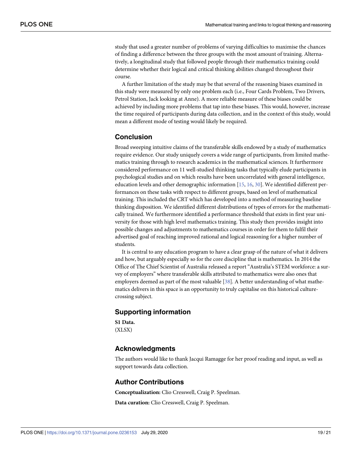<span id="page-19-0"></span>study that used a greater number of problems of varying difficulties to maximise the chances of finding a difference between the three groups with the most amount of training. Alternatively, a longitudinal study that followed people through their mathematics training could determine whether their logical and critical thinking abilities changed throughout their course.

A further limitation of the study may be that several of the reasoning biases examined in this study were measured by only one problem each (i.e., Four Cards Problem, Two Drivers, Petrol Station, Jack looking at Anne). A more reliable measure of these biases could be achieved by including more problems that tap into these biases. This would, however, increase the time required of participants during data collection, and in the context of this study, would mean a different mode of testing would likely be required.

# **Conclusion**

Broad sweeping intuitive claims of the transferable skills endowed by a study of mathematics require evidence. Our study uniquely covers a wide range of participants, from limited mathematics training through to research academics in the mathematical sciences. It furthermore considered performance on 11 well-studied thinking tasks that typically elude participants in psychological studies and on which results have been uncorrelated with general intelligence, education levels and other demographic information [[15,](#page-20-0) [16](#page-20-0), [30\]](#page-21-0). We identified different performances on these tasks with respect to different groups, based on level of mathematical training. This included the CRT which has developed into a method of measuring baseline thinking disposition. We identified different distributions of types of errors for the mathematically trained. We furthermore identified a performance threshold that exists in first year university for those with high level mathematics training. This study then provides insight into possible changes and adjustments to mathematics courses in order for them to fulfil their advertised goal of reaching improved rational and logical reasoning for a higher number of students.

It is central to any education program to have a clear grasp of the nature of what it delivers and how, but arguably especially so for the core discipline that is mathematics. In 2014 the Office of The Chief Scientist of Australia released a report "Australia's STEM workforce: a survey of employers" where transferable skills attributed to mathematics were also ones that employers deemed as part of the most valuable [[38](#page-21-0)]. A better understanding of what mathematics delivers in this space is an opportunity to truly capitalise on this historical culturecrossing subject.

# **Supporting information**

**S1 [Data](http://www.plosone.org/article/fetchSingleRepresentation.action?uri=info:doi/10.1371/journal.pone.0236153.s001).** (XLSX)

# **Acknowledgments**

The authors would like to thank Jacqui Ramagge for her proof reading and input, as well as support towards data collection.

# **Author Contributions**

**Conceptualization:** Clio Cresswell, Craig P. Speelman.

**Data curation:** Clio Cresswell, Craig P. Speelman.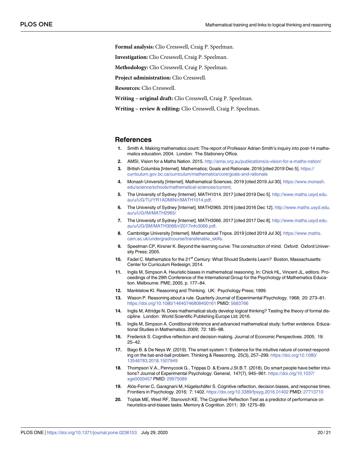<span id="page-20-0"></span>**Formal analysis:** Clio Cresswell, Craig P. Speelman.

**Investigation:** Clio Cresswell, Craig P. Speelman.

**Methodology:** Clio Cresswell, Craig P. Speelman.

**Project administration:** Clio Cresswell.

**Resources:** Clio Cresswell.

**Writing – original draft:** Clio Cresswell, Craig P. Speelman.

**Writing – review & editing:** Clio Cresswell, Craig P. Speelman.

#### **References**

- **[1](#page-1-0).** Smith A. Making mathematics count: The report of Professor Adrian Smith's inquiry into post-14 mathematics education. 2004. London: The Stationery Office.
- **[2](#page-2-0).** AMSI, Vision for a Maths Nation. 2015. <http://amsi.org.au/publications/a-vision-for-a-maths-nation/>
- **[3](#page-2-0).** British Columbia [Internet]. Mathematics; Goals and Rationale. 2016 [cited 2019 Dec 5]. [https://](https://curriculum.gov.bc.ca/curriculum/mathematics/core/goals-and-rationale) [curriculum.gov.bc.ca/curriculum/mathematics/core/goals-and-rationale](https://curriculum.gov.bc.ca/curriculum/mathematics/core/goals-and-rationale)
- **[4](#page-2-0).** Monash University [Internet]. Mathematical Sciences. 2019 [cited 2019 Jul 30]. [https://www.monash.](https://www.monash.edu/science/schools/mathematical-sciences/current) [edu/science/schools/mathematical-sciences/current](https://www.monash.edu/science/schools/mathematical-sciences/current).
- **[5](#page-2-0).** The University of Sydney [Internet]. MATH1014. 2017 [cited 2019 Dec 5]. [http://www.maths.usyd.edu.](http://www.maths.usyd.edu.au/u/UG/TU/YR1ADMIN/r/MATH1014.pdf) [au/u/UG/TU/YR1ADMIN/r/MATH1014.pdf.](http://www.maths.usyd.edu.au/u/UG/TU/YR1ADMIN/r/MATH1014.pdf)
- **[6](#page-2-0).** The University of Sydney [Internet]. MATH2965. 2016 [cited 2016 Dec 12]. [http://www.maths.usyd.edu.](http://www.maths.usyd.edu.au/u/UG/IM/MATH2965/) [au/u/UG/IM/MATH2965/](http://www.maths.usyd.edu.au/u/UG/IM/MATH2965/)
- **[7](#page-2-0).** The University of Sydney [Internet]. MATH3066. 2017 [cited 2017 Dec 8]. [http://www.maths.usyd.edu.](http://www.maths.usyd.edu.au/u/UG/SM/MATH3066/r/2017info3066.pdf) [au/u/UG/SM/MATH3066/r/2017info3066.pdf.](http://www.maths.usyd.edu.au/u/UG/SM/MATH3066/r/2017info3066.pdf)
- **[8](#page-2-0).** Cambridge University [Internet]. Mathematical Tripos. 2019 [cited 2019 Jul 30]. [https://www.maths.](https://www.maths.cam.ac.uk/undergrad/course/transferable_skills) [cam.ac.uk/undergrad/course/transferable\\_skills](https://www.maths.cam.ac.uk/undergrad/course/transferable_skills).
- **[9](#page-2-0).** Speelman CP, Kirsner K. Beyond the learning curve: The construction of mind. Oxford: Oxford University Press; 2005.
- **[10](#page-2-0).** Fadel C. Mathematics for the 21<sup>st</sup> Century: What Should Students Learn? Boston, Massachusetts: Center for Curriculum Redesign; 2014.
- **[11](#page-2-0).** Inglis M, Simpson A. Heuristic biases in mathematical reasoning. In: Chick HL, Vincent JL, editors. Proceedings of the 29th Conference of the International Group for the Psychology of Mathematics Education. Melbourne: PME; 2005. p. 177–84.
- **[12](#page-2-0).** Manktelow KI. Reasoning and Thinking. UK: Psychology Press; 1999.
- **[13](#page-2-0).** Wason P. Reasoning about a rule. Quarterly Journal of Experimental Psychology. 1968; 20: 273–81. <https://doi.org/10.1080/14640746808400161> PMID: [5683766](http://www.ncbi.nlm.nih.gov/pubmed/5683766)
- **[14](#page-3-0).** Inglis M, Attridge N. Does mathematical study develop logical thinking? Testing the theory of formal discipline. London: World Scientific Publishing Europe Ltd; 2016.
- **[15](#page-3-0).** Inglis M, Simpson A. Conditional inference and advanced mathematical study: further evidence. Educational Studies in Mathematics. 2009; 72: 185–98.
- **[16](#page-3-0).** Frederick S. Cognitive reflection and decision making. Journal of Economic Perspectives. 2005; 19: 25–42.
- **[17](#page-4-0).** Bago B. & De Neys W. (2019). The smart system 1: Evidence for the intuitive nature of correct responding on the bat-and-ball problem. Thinking & Reasoning, 25(3), 257–299. [https://doi.org/10.1080/](https://doi.org/10.1080/13546783.2018.1507949) [13546783.2018.1507949](https://doi.org/10.1080/13546783.2018.1507949)
- **[18](#page-4-0).** Thompson V.A., Pennycook G., Trippas D. & Evans J.St.B.T. (2018). Do smart people have better intuitions? Journal of Experimental Psychology: General, 147(7), 945–961. [https://doi.org/10.1037/](https://doi.org/10.1037/xge0000457) [xge0000457](https://doi.org/10.1037/xge0000457) PMID: [29975089](http://www.ncbi.nlm.nih.gov/pubmed/29975089)
- **[19](#page-4-0).** Alós-Ferrer C, Garagnani M, Hügelschäfer S. Cognitive reflection, decision biases, and response times. Frontiers in Psychology. 2016; 7: 1402. <https://doi.org/10.3389/fpsyg.2016.01402> PMID: [27713710](http://www.ncbi.nlm.nih.gov/pubmed/27713710)
- **20.** Toplak ME, West RF, Stanovich KE. The Cognitive Reflection Test as a predictor of performance on heuristics-and-biases tasks. Memory & Cognition. 2011; 39: 1275–89.